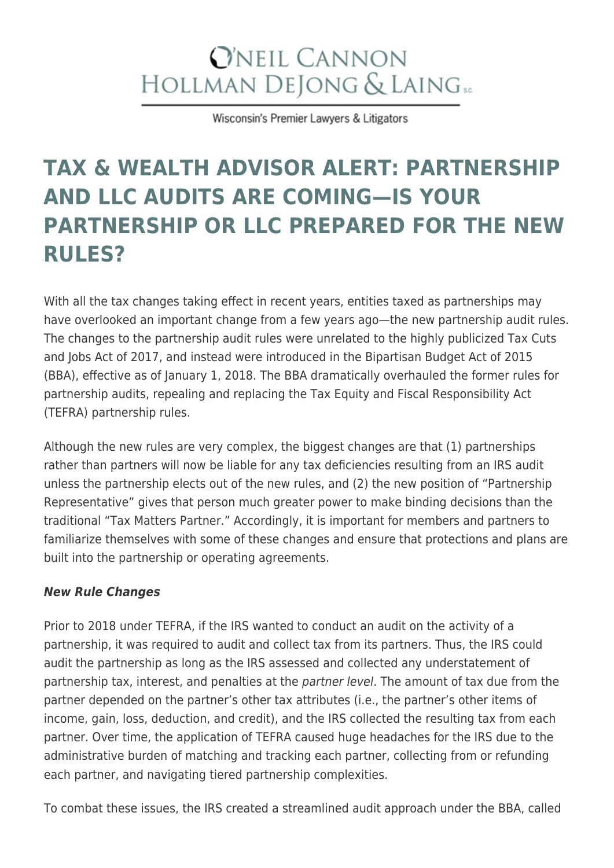# **O'NEIL CANNON** HOLLMAN DEJONG & LAING SC

Wisconsin's Premier Lawyers & Litigators

# **[TAX & WEALTH ADVISOR ALERT: PARTNERSHIP](https://www.wilaw.com/tax-wealth-advisor-alert-partnership-and-llc-audits-are-coming-is-your-partnership-or-llc-prepared-for-the-new-rules/) [AND LLC AUDITS ARE COMING—IS YOUR](https://www.wilaw.com/tax-wealth-advisor-alert-partnership-and-llc-audits-are-coming-is-your-partnership-or-llc-prepared-for-the-new-rules/) [PARTNERSHIP OR LLC PREPARED FOR THE NEW](https://www.wilaw.com/tax-wealth-advisor-alert-partnership-and-llc-audits-are-coming-is-your-partnership-or-llc-prepared-for-the-new-rules/) [RULES?](https://www.wilaw.com/tax-wealth-advisor-alert-partnership-and-llc-audits-are-coming-is-your-partnership-or-llc-prepared-for-the-new-rules/)**

With all the tax changes taking effect in recent years, entities taxed as partnerships may have overlooked an important change from a few years ago—the new partnership audit rules. The changes to the partnership audit rules were unrelated to the highly publicized Tax Cuts and Jobs Act of 2017, and instead were introduced in the Bipartisan Budget Act of 2015 (BBA), effective as of January 1, 2018. The BBA dramatically overhauled the former rules for partnership audits, repealing and replacing the Tax Equity and Fiscal Responsibility Act (TEFRA) partnership rules.

Although the new rules are very complex, the biggest changes are that (1) partnerships rather than partners will now be liable for any tax deficiencies resulting from an IRS audit unless the partnership elects out of the new rules, and (2) the new position of "Partnership Representative" gives that person much greater power to make binding decisions than the traditional "Tax Matters Partner." Accordingly, it is important for members and partners to familiarize themselves with some of these changes and ensure that protections and plans are built into the partnership or operating agreements.

#### *New Rule Changes*

Prior to 2018 under TEFRA, if the IRS wanted to conduct an audit on the activity of a partnership, it was required to audit and collect tax from its partners. Thus, the IRS could audit the partnership as long as the IRS assessed and collected any understatement of partnership tax, interest, and penalties at the partner level. The amount of tax due from the partner depended on the partner's other tax attributes (i.e., the partner's other items of income, gain, loss, deduction, and credit), and the IRS collected the resulting tax from each partner. Over time, the application of TEFRA caused huge headaches for the IRS due to the administrative burden of matching and tracking each partner, collecting from or refunding each partner, and navigating tiered partnership complexities.

To combat these issues, the IRS created a streamlined audit approach under the BBA, called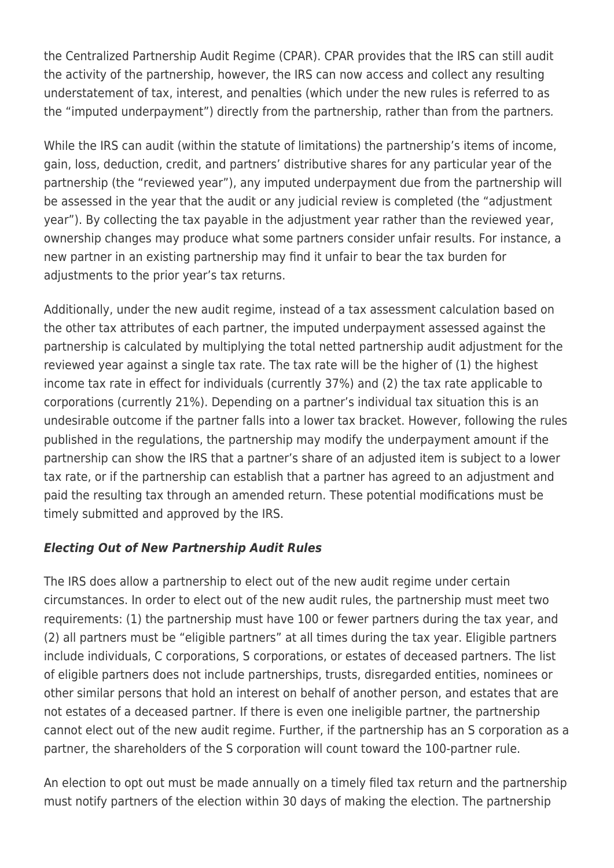the Centralized Partnership Audit Regime (CPAR). CPAR provides that the IRS can still audit the activity of the partnership, however, the IRS can now access and collect any resulting understatement of tax, interest, and penalties (which under the new rules is referred to as the "imputed underpayment") directly from the partnership, rather than from the partners.

While the IRS can audit (within the statute of limitations) the partnership's items of income, gain, loss, deduction, credit, and partners' distributive shares for any particular year of the partnership (the "reviewed year"), any imputed underpayment due from the partnership will be assessed in the year that the audit or any judicial review is completed (the "adjustment year"). By collecting the tax payable in the adjustment year rather than the reviewed year, ownership changes may produce what some partners consider unfair results. For instance, a new partner in an existing partnership may find it unfair to bear the tax burden for adjustments to the prior year's tax returns.

Additionally, under the new audit regime, instead of a tax assessment calculation based on the other tax attributes of each partner, the imputed underpayment assessed against the partnership is calculated by multiplying the total netted partnership audit adjustment for the reviewed year against a single tax rate. The tax rate will be the higher of (1) the highest income tax rate in effect for individuals (currently 37%) and (2) the tax rate applicable to corporations (currently 21%). Depending on a partner's individual tax situation this is an undesirable outcome if the partner falls into a lower tax bracket. However, following the rules published in the regulations, the partnership may modify the underpayment amount if the partnership can show the IRS that a partner's share of an adjusted item is subject to a lower tax rate, or if the partnership can establish that a partner has agreed to an adjustment and paid the resulting tax through an amended return. These potential modifications must be timely submitted and approved by the IRS.

#### *Electing Out of New Partnership Audit Rules*

The IRS does allow a partnership to elect out of the new audit regime under certain circumstances. In order to elect out of the new audit rules, the partnership must meet two requirements: (1) the partnership must have 100 or fewer partners during the tax year, and (2) all partners must be "eligible partners" at all times during the tax year. Eligible partners include individuals, C corporations, S corporations, or estates of deceased partners. The list of eligible partners does not include partnerships, trusts, disregarded entities, nominees or other similar persons that hold an interest on behalf of another person, and estates that are not estates of a deceased partner. If there is even one ineligible partner, the partnership cannot elect out of the new audit regime. Further, if the partnership has an S corporation as a partner, the shareholders of the S corporation will count toward the 100-partner rule.

An election to opt out must be made annually on a timely filed tax return and the partnership must notify partners of the election within 30 days of making the election. The partnership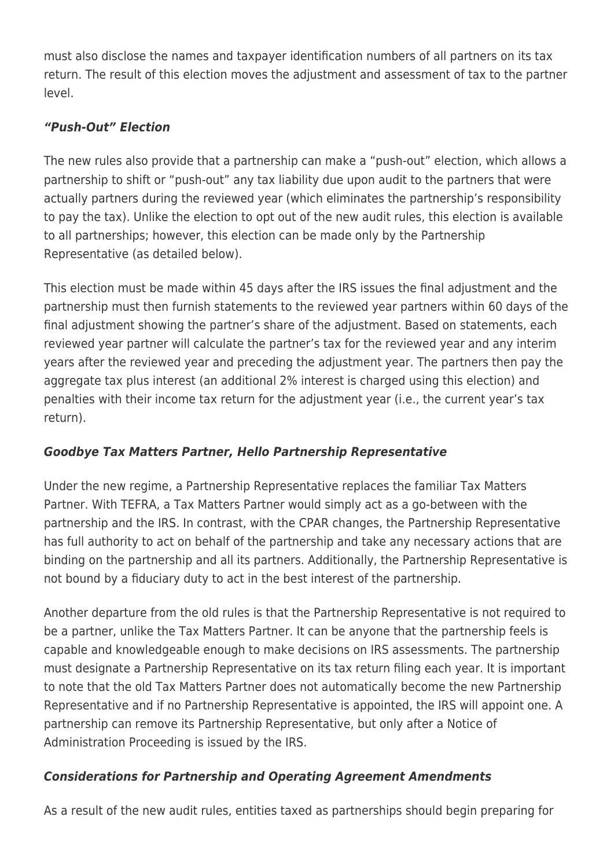must also disclose the names and taxpayer identification numbers of all partners on its tax return. The result of this election moves the adjustment and assessment of tax to the partner level.

### *"Push-Out" Election*

The new rules also provide that a partnership can make a "push-out" election, which allows a partnership to shift or "push-out" any tax liability due upon audit to the partners that were actually partners during the reviewed year (which eliminates the partnership's responsibility to pay the tax). Unlike the election to opt out of the new audit rules, this election is available to all partnerships; however, this election can be made only by the Partnership Representative (as detailed below).

This election must be made within 45 days after the IRS issues the final adjustment and the partnership must then furnish statements to the reviewed year partners within 60 days of the final adjustment showing the partner's share of the adjustment. Based on statements, each reviewed year partner will calculate the partner's tax for the reviewed year and any interim years after the reviewed year and preceding the adjustment year. The partners then pay the aggregate tax plus interest (an additional 2% interest is charged using this election) and penalties with their income tax return for the adjustment year (i.e., the current year's tax return).

## *Goodbye Tax Matters Partner, Hello Partnership Representative*

Under the new regime, a Partnership Representative replaces the familiar Tax Matters Partner. With TEFRA, a Tax Matters Partner would simply act as a go-between with the partnership and the IRS. In contrast, with the CPAR changes, the Partnership Representative has full authority to act on behalf of the partnership and take any necessary actions that are binding on the partnership and all its partners. Additionally, the Partnership Representative is not bound by a fiduciary duty to act in the best interest of the partnership.

Another departure from the old rules is that the Partnership Representative is not required to be a partner, unlike the Tax Matters Partner. It can be anyone that the partnership feels is capable and knowledgeable enough to make decisions on IRS assessments. The partnership must designate a Partnership Representative on its tax return filing each year. It is important to note that the old Tax Matters Partner does not automatically become the new Partnership Representative and if no Partnership Representative is appointed, the IRS will appoint one. A partnership can remove its Partnership Representative, but only after a Notice of Administration Proceeding is issued by the IRS.

## *Considerations for Partnership and Operating Agreement Amendments*

As a result of the new audit rules, entities taxed as partnerships should begin preparing for